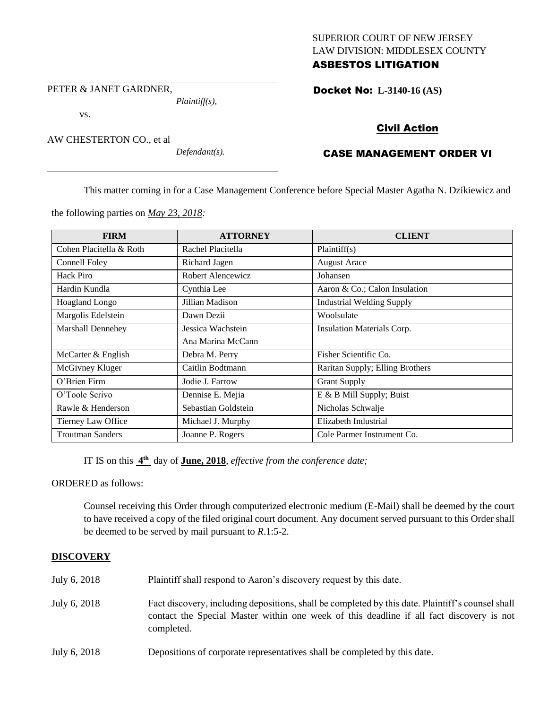### SUPERIOR COURT OF NEW JERSEY LAW DIVISION: MIDDLESEX COUNTY ASBESTOS LITIGATION

PETER & JANET GARDNER,

vs.

AW CHESTERTON CO., et al

*Defendant(s).*

*Plaintiff(s),*

Docket No: **L-3140-16 (AS)** 

# Civil Action

# CASE MANAGEMENT ORDER VI

This matter coming in for a Case Management Conference before Special Master Agatha N. Dzikiewicz and

the following parties on *May 23, 2018:*

| <b>FIRM</b>             | <b>ATTORNEY</b>     | <b>CLIENT</b>                    |
|-------------------------|---------------------|----------------------------------|
| Cohen Placitella & Roth | Rachel Placitella   | Plaintiff(s)                     |
| Connell Foley           | Richard Jagen       | <b>August Arace</b>              |
| Hack Piro               | Robert Alencewicz   | Johansen                         |
| Hardin Kundla           | Cynthia Lee         | Aaron & Co.; Calon Insulation    |
| <b>Hoagland Longo</b>   | Jillian Madison     | <b>Industrial Welding Supply</b> |
| Margolis Edelstein      | Dawn Dezii          | Woolsulate                       |
| Marshall Dennehey       | Jessica Wachstein   | Insulation Materials Corp.       |
|                         | Ana Marina McCann   |                                  |
| McCarter & English      | Debra M. Perry      | Fisher Scientific Co.            |
| McGivney Kluger         | Caitlin Bodtmann    | Raritan Supply; Elling Brothers  |
| O'Brien Firm            | Jodie J. Farrow     | <b>Grant Supply</b>              |
| O'Toole Scrivo          | Dennise E. Mejia    | E & B Mill Supply; Buist         |
| Rawle & Henderson       | Sebastian Goldstein | Nicholas Schwalje                |
| Tierney Law Office      | Michael J. Murphy   | Elizabeth Industrial             |
| <b>Troutman Sanders</b> | Joanne P. Rogers    | Cole Parmer Instrument Co.       |

IT IS on this  $4^{\text{th}}$  day of **June, 2018**, *effective from the conference date*;

ORDERED as follows:

Counsel receiving this Order through computerized electronic medium (E-Mail) shall be deemed by the court to have received a copy of the filed original court document. Any document served pursuant to this Order shall be deemed to be served by mail pursuant to *R*.1:5-2.

### **DISCOVERY**

| July 6, 2018 | Plaintiff shall respond to Aaron's discovery request by this date.                                                                                                                                          |
|--------------|-------------------------------------------------------------------------------------------------------------------------------------------------------------------------------------------------------------|
| July 6, 2018 | Fact discovery, including depositions, shall be completed by this date. Plaintiff's counsel shall<br>contact the Special Master within one week of this deadline if all fact discovery is not<br>completed. |
| July 6, 2018 | Depositions of corporate representatives shall be completed by this date.                                                                                                                                   |